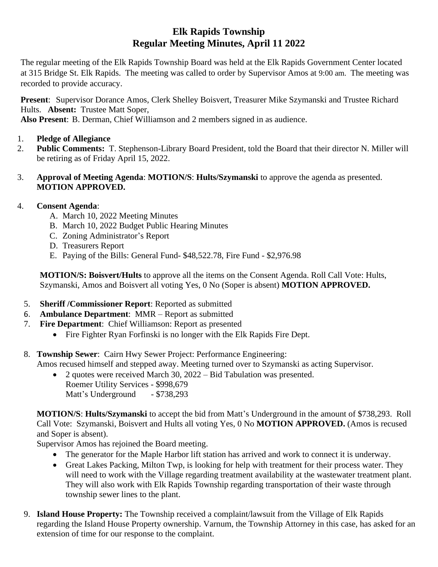# **Elk Rapids Township Regular Meeting Minutes, April 11 2022**

The regular meeting of the Elk Rapids Township Board was held at the Elk Rapids Government Center located at 315 Bridge St. Elk Rapids. The meeting was called to order by Supervisor Amos at 9:00 am. The meeting was recorded to provide accuracy.

**Present**: Supervisor Dorance Amos, Clerk Shelley Boisvert, Treasurer Mike Szymanski and Trustee Richard Hults. **Absent:** Trustee Matt Soper,

**Also Present**: B. Derman, Chief Williamson and 2 members signed in as audience.

- 1. **Pledge of Allegiance**
- 2. **Public Comments:** T. Stephenson-Library Board President, told the Board that their director N. Miller will be retiring as of Friday April 15, 2022.
- 3. **Approval of Meeting Agenda**: **MOTION/S**: **Hults/Szymanski** to approve the agenda as presented. **MOTION APPROVED.**

## 4. **Consent Agenda**:

- A. March 10, 2022 Meeting Minutes
- B. March 10, 2022 Budget Public Hearing Minutes
- C. Zoning Administrator's Report
- D. Treasurers Report
- E. Paying of the Bills: General Fund- \$48,522.78, Fire Fund \$2,976.98

**MOTION/S: Boisvert/Hults** to approve all the items on the Consent Agenda. Roll Call Vote: Hults, Szymanski, Amos and Boisvert all voting Yes, 0 No (Soper is absent) **MOTION APPROVED.**

- 5. **Sheriff /Commissioner Report**: Reported as submitted
- 6. **Ambulance Department**: MMR Report as submitted
- 7. **Fire Department**: Chief Williamson: Report as presented
	- Fire Fighter Ryan Forfinski is no longer with the Elk Rapids Fire Dept.
- 8. **Township Sewer**: Cairn Hwy Sewer Project: Performance Engineering: Amos recused himself and stepped away. Meeting turned over to Szymanski as acting Supervisor.
	- 2 quotes were received March 30, 2022 Bid Tabulation was presented. Roemer Utility Services - \$998,679 Matt's Underground - \$738,293

**MOTION/S**: **Hults/Szymanski** to accept the bid from Matt's Underground in the amount of \$738,293. Roll Call Vote: Szymanski, Boisvert and Hults all voting Yes, 0 No **MOTION APPROVED.** (Amos is recused and Soper is absent).

Supervisor Amos has rejoined the Board meeting.

- The generator for the Maple Harbor lift station has arrived and work to connect it is underway.
- Great Lakes Packing, Milton Twp, is looking for help with treatment for their process water. They will need to work with the Village regarding treatment availability at the wastewater treatment plant. They will also work with Elk Rapids Township regarding transportation of their waste through township sewer lines to the plant.
- 9. **Island House Property:** The Township received a complaint/lawsuit from the Village of Elk Rapids regarding the Island House Property ownership. Varnum, the Township Attorney in this case, has asked for an extension of time for our response to the complaint.